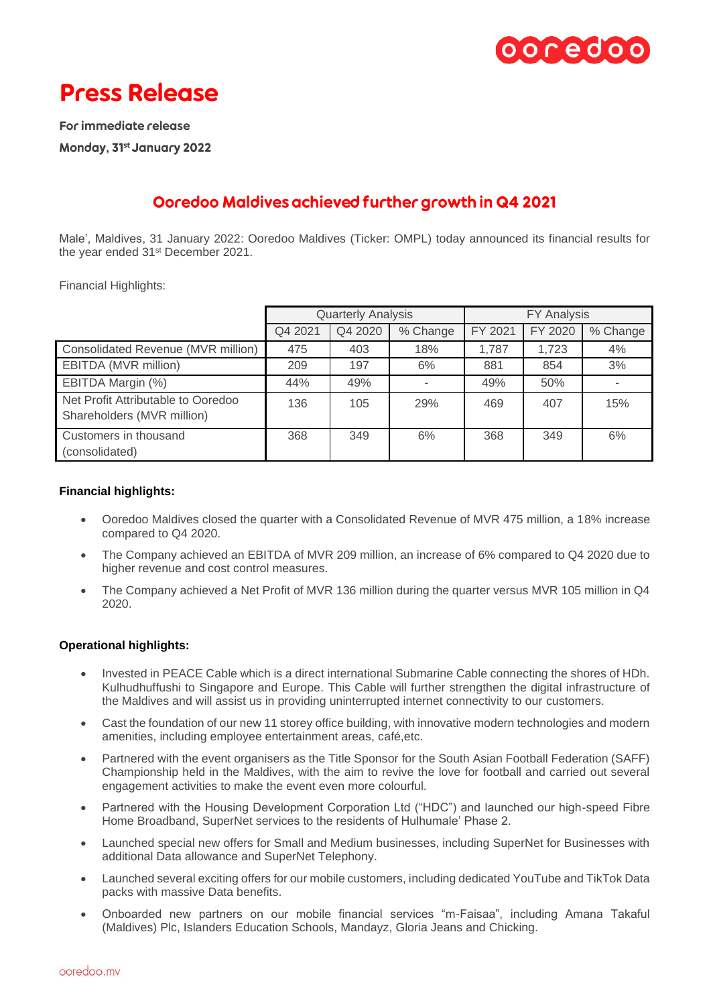

# **Press Release**

For immediate release Monday, 31st January 2022

## Ooredoo Maldives achieved further growth in Q4 2021

Male', Maldives, 31 January 2022: Ooredoo Maldives (Ticker: OMPL) today announced its financial results for the year ended 31st December 2021.

Financial Highlights:

|                                                                  | <b>Quarterly Analysis</b> |         |          | <b>FY Analysis</b> |         |          |
|------------------------------------------------------------------|---------------------------|---------|----------|--------------------|---------|----------|
|                                                                  | Q4 2021                   | Q4 2020 | % Change | FY 2021            | FY 2020 | % Change |
| Consolidated Revenue (MVR million)                               | 475                       | 403     | 18%      | 1.787              | 1.723   | 4%       |
| EBITDA (MVR million)                                             | 209                       | 197     | 6%       | 881                | 854     | 3%       |
| EBITDA Margin (%)                                                | 44%                       | 49%     |          | 49%                | 50%     |          |
| Net Profit Attributable to Ooredoo<br>Shareholders (MVR million) | 136                       | 105     | 29%      | 469                | 407     | 15%      |
| Customers in thousand<br>(consolidated)                          | 368                       | 349     | 6%       | 368                | 349     | 6%       |

## **Financial highlights:**

- Ooredoo Maldives closed the quarter with a Consolidated Revenue of MVR 475 million, a 18% increase compared to Q4 2020.
- The Company achieved an EBITDA of MVR 209 million, an increase of 6% compared to Q4 2020 due to higher revenue and cost control measures.
- The Company achieved a Net Profit of MVR 136 million during the quarter versus MVR 105 million in Q4 2020.

## **Operational highlights:**

- Invested in PEACE Cable which is a direct international Submarine Cable connecting the shores of HDh. Kulhudhuffushi to Singapore and Europe. This Cable will further strengthen the digital infrastructure of the Maldives and will assist us in providing uninterrupted internet connectivity to our customers.
- Cast the foundation of our new 11 storey office building, with innovative modern technologies and modern amenities, including employee entertainment areas, café,etc.
- Partnered with the event organisers as the Title Sponsor for the South Asian Football Federation (SAFF) Championship held in the Maldives, with the aim to revive the love for football and carried out several engagement activities to make the event even more colourful.
- Partnered with the Housing Development Corporation Ltd ("HDC") and launched our high-speed Fibre Home Broadband, SuperNet services to the residents of Hulhumale' Phase 2.
- Launched special new offers for Small and Medium businesses, including SuperNet for Businesses with additional Data allowance and SuperNet Telephony.
- Launched several exciting offers for our mobile customers, including dedicated YouTube and TikTok Data packs with massive Data benefits.
- Onboarded new partners on our mobile financial services "m-Faisaa", including Amana Takaful (Maldives) Plc, Islanders Education Schools, Mandayz, Gloria Jeans and Chicking.